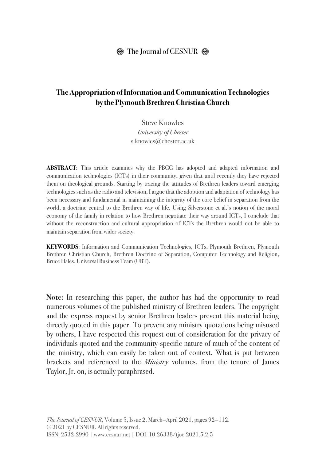## $\otimes$  The Journal of CESNUR  $\otimes$

# **The Appropriation of Information and Communication Technologies by the Plymouth Brethren Christian Church**

Steve Knowles *University of Chester* s.knowles@chester.ac.uk

**ABSTRACT**: This article examines why the PBCC has adopted and adapted information and communication technologies (ICTs) in their community, given that until recently they have rejected them on theological grounds. Starting by tracing the attitudes of Brethren leaders toward emerging technologies such as the radio and television, I argue that the adoption and adaptation of technology has been necessary and fundamental in maintaining the integrity of the core belief in separation from the world, a doctrine central to the Brethren way of life. Using Silverstone et al.'s notion of the moral economy of the family in relation to how Brethren negotiate their way around ICTs, I conclude that without the reconstruction and cultural appropriation of ICTs the Brethren would not be able to maintain separation from wider society.

**KEYWORDS**: Information and Communication Technologies, ICTs, Plymouth Brethren, Plymouth Brethren Christian Church, Brethren Doctrine of Separation, Computer Technology and Religion, Bruce Hales, Universal Business Team (UBT).

**Note:** In researching this paper, the author has had the opportunity to read numerous volumes of the published ministry of Brethren leaders. The copyright and the express request by senior Brethren leaders prevent this material being directly quoted in this paper. To prevent any ministry quotations being misused by others, I have respected this request out of consideration for the privacy of individuals quoted and the community-specific nature of much of the content of the ministry, which can easily be taken out of context. What is put between brackets and referenced to the *Ministry* volumes, from the tenure of James Taylor, Jr. on, is actually paraphrased.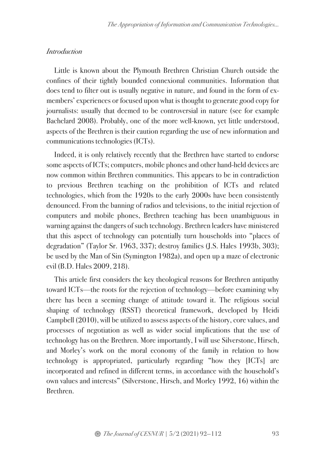### *Introduction*

Little is known about the Plymouth Brethren Christian Church outside the confines of their tightly bounded connexional communities. Information that does tend to filter out is usually negative in nature, and found in the form of exmembers' experiences or focused upon what is thought to generate good copy for journalists: usually that deemed to be controversial in nature (see for example Bachelard 2008). Probably, one of the more well-known, yet little understood, aspects of the Brethren is their caution regarding the use of new information and communications technologies (ICTs).

Indeed, it is only relatively recently that the Brethren have started to endorse some aspects of ICTs; computers, mobile phones and other hand-held devices are now common within Brethren communities. This appears to be in contradiction to previous Brethren teaching on the prohibition of ICTs and related technologies, which from the 1920s to the early 2000s have been consistently denounced. From the banning of radios and televisions, to the initial rejection of computers and mobile phones, Brethren teaching has been unambiguous in warning against the dangers of such technology. Brethren leaders have ministered that this aspect of technology can potentially turn households into "places of degradation" (Taylor Sr. 1963, 337); destroy families (J.S. Hales 1993b, 303); be used by the Man of Sin (Symington 1982a), and open up a maze of electronic evil (B.D. Hales 2009, 218).

This article first considers the key theological reasons for Brethren antipathy toward ICTs—the roots for the rejection of technology—before examining why there has been a seeming change of attitude toward it. The religious social shaping of technology (RSST) theoretical framework, developed by Heidi Campbell (2010), will be utilized to assess aspects of the history, core values, and processes of negotiation as well as wider social implications that the use of technology has on the Brethren. More importantly, I will use Silverstone, Hirsch, and Morley's work on the moral economy of the family in relation to how technology is appropriated, particularly regarding "how they [ICTs] are incorporated and refined in different terms, in accordance with the household's own values and interests" (Silverstone, Hirsch, and Morley 1992, 16) within the Brethren.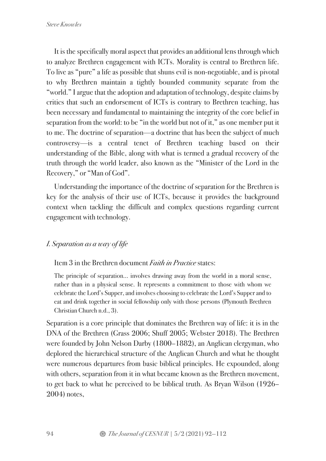It is the specifically moral aspect that provides an additional lens through which to analyze Brethren engagement with ICTs. Morality is central to Brethren life. To live as "pure" a life as possible that shuns evil is non-negotiable, and is pivotal to why Brethren maintain a tightly bounded community separate from the "world." I argue that the adoption and adaptation of technology, despite claims by critics that such an endorsement of ICTs is contrary to Brethren teaching, has been necessary and fundamental to maintaining the integrity of the core belief in separation from the world: to be "in the world but not of it," as one member put it to me. The doctrine of separation—a doctrine that has been the subject of much controversy—is a central tenet of Brethren teaching based on their understanding of the Bible, along with what is termed a gradual recovery of the truth through the world leader, also known as the "Minister of the Lord in the Recovery," or "Man of God".

Understanding the importance of the doctrine of separation for the Brethren is key for the analysis of their use of ICTs, because it provides the background context when tackling the difficult and complex questions regarding current engagement with technology.

# *I. Separation as a way of life*

#### Item 3 in the Brethren document *Faith in Practice* states:

The principle of separation… involves drawing away from the world in a moral sense, rather than in a physical sense. It represents a commitment to those with whom we celebrate the Lord's Supper, and involves choosing to celebrate the Lord's Supper and to eat and drink together in social fellowship only with those persons (Plymouth Brethren Christian Church n.d., 3).

Separation is a core principle that dominates the Brethren way of life: it is in the DNA of the Brethren (Grass 2006; Shuff 2005; Webster 2018). The Brethren were founded by John Nelson Darby (1800–1882), an Anglican clergyman, who deplored the hierarchical structure of the Anglican Church and what he thought were numerous departures from basic biblical principles. He expounded, along with others, separation from it in what became known as the Brethren movement, to get back to what he perceived to be biblical truth. As Bryan Wilson (1926– 2004) notes,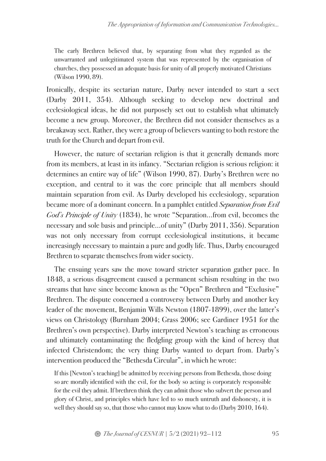The early Brethren believed that, by separating from what they regarded as the unwarranted and unlegitimated system that was represented by the organisation of churches, they possessed an adequate basis for unity of all properly motivated Christians (Wilson 1990, 89).

Ironically, despite its sectarian nature, Darby never intended to start a sect (Darby 2011, 354). Although seeking to develop new doctrinal and ecclesiological ideas, he did not purposely set out to establish what ultimately become a new group. Moreover, the Brethren did not consider themselves as a breakaway sect. Rather, they were a group of believers wanting to both restore the truth for the Church and depart from evil.

However, the nature of sectarian religion is that it generally demands more from its members, at least in its infancy. "Sectarian religion is serious religion: it determines an entire way of life" (Wilson 1990, 87). Darby's Brethren were no exception, and central to it was the core principle that all members should maintain separation from evil. As Darby developed his ecclesiology, separation became more of a dominant concern. In a pamphlet entitled *Separation from Evil God's Principle of Unity* (1834), he wrote "Separation…from evil, becomes the necessary and sole basis and principle…of unity" (Darby 2011, 356). Separation was not only necessary from corrupt ecclesiological institutions, it became increasingly necessary to maintain a pure and godly life. Thus, Darby encouraged Brethren to separate themselves from wider society.

The ensuing years saw the move toward stricter separation gather pace. In 1848, a serious disagreement caused a permanent schism resulting in the two streams that have since become known as the "Open" Brethren and "Exclusive" Brethren. The dispute concerned a controversy between Darby and another key leader of the movement, Benjamin Wills Newton (1807-1899), over the latter's views on Christology (Burnham 2004; Grass 2006; see Gardiner 1951 for the Brethren's own perspective). Darby interpreted Newton's teaching as erroneous and ultimately contaminating the fledgling group with the kind of heresy that infected Christendom; the very thing Darby wanted to depart from. Darby's intervention produced the "Bethesda Circular", in which he wrote:

If this [Newton's teaching] be admitted by receiving persons from Bethesda, those doing so are morally identified with the evil, for the body so acting is corporately responsible for the evil they admit. If brethren think they can admit those who subvert the person and glory of Christ, and principles which have led to so much untruth and dishonesty, it is well they should say so, that those who cannot may know what to do (Darby 2010, 164).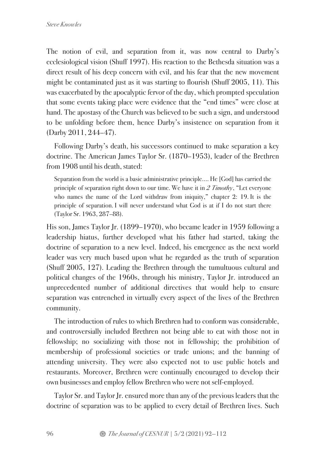The notion of evil, and separation from it, was now central to Darby's ecclesiological vision (Shuff 1997). His reaction to the Bethesda situation was a direct result of his deep concern with evil, and his fear that the new movement might be contaminated just as it was starting to flourish (Shuff 2005, 11). This was exacerbated by the apocalyptic fervor of the day, which prompted speculation that some events taking place were evidence that the "end times" were close at hand. The apostasy of the Church was believed to be such a sign, and understood to be unfolding before them, hence Darby's insistence on separation from it (Darby 2011, 244–47).

Following Darby's death, his successors continued to make separation a key doctrine. The American James Taylor Sr. (1870–1953), leader of the Brethren from 1908 until his death, stated:

Separation from the world is a basic administrative principle…. He [God] has carried the principle of separation right down to our time. We have it in *2 Timothy*, "Let everyone who names the name of the Lord withdraw from iniquity," chapter 2: 19. It is the principle of separation. I will never understand what God is at if I do not start there (Taylor Sr. 1963, 287–88).

His son, James Taylor Jr. (1899–1970), who became leader in 1959 following a leadership hiatus, further developed what his father had started, taking the doctrine of separation to a new level. Indeed, his emergence as the next world leader was very much based upon what he regarded as the truth of separation (Shuff 2005, 127). Leading the Brethren through the tumultuous cultural and political changes of the 1960s, through his ministry, Taylor Jr. introduced an unprecedented number of additional directives that would help to ensure separation was entrenched in virtually every aspect of the lives of the Brethren community.

The introduction of rules to which Brethren had to conform was considerable, and controversially included Brethren not being able to eat with those not in fellowship; no socializing with those not in fellowship; the prohibition of membership of professional societies or trade unions; and the banning of attending university. They were also expected not to use public hotels and restaurants. Moreover, Brethren were continually encouraged to develop their own businesses and employ fellow Brethren who were not self-employed.

Taylor Sr. and Taylor Jr. ensured more than any of the previous leaders that the doctrine of separation was to be applied to every detail of Brethren lives. Such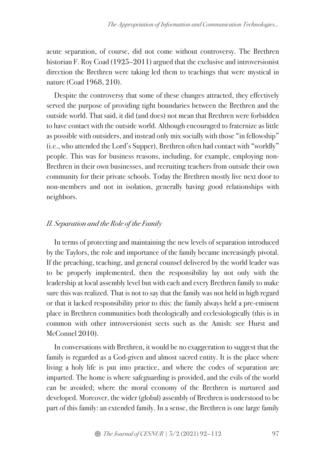acute separation, of course, did not come without controversy. The Brethren historian F. Roy Coad (1925–2011) argued that the exclusive and introversionist direction the Brethren were taking led them to teachings that were mystical in nature (Coad 1968, 210).

Despite the controversy that some of these changes attracted, they effectively served the purpose of providing tight boundaries between the Brethren and the outside world. That said, it did (and does) not mean that Brethren were forbidden to have contact with the outside world. Although encouraged to fraternize as little as possible with outsiders, and instead only mix socially with those "in fellowship" (i.e., who attended the Lord's Supper), Brethren often had contact with "worldly" people. This was for business reasons, including, for example, employing non-Brethren in their own businesses, and recruiting teachers from outside their own community for their private schools. Today the Brethren mostly live next door to non-members and not in isolation, generally having good relationships with neighbors.

## *II. Separation and the Role of the Family*

In terms of protecting and maintaining the new levels of separation introduced by the Taylors, the role and importance of the family became increasingly pivotal. If the preaching, teaching, and general counsel delivered by the world leader was to be properly implemented, then the responsibility lay not only with the leadership at local assembly level but with each and every Brethren family to make sure this was realized. That is not to say that the family was not held in high regard or that it lacked responsibility prior to this: the family always held a pre-eminent place in Brethren communities both theologically and ecclesiologically (this is in common with other introversionist sects such as the Amish: see Hurst and McConnel 2010).

In conversations with Brethren, it would be no exaggeration to suggest that the family is regarded as a God-given and almost sacred entity. It is the place where living a holy life is put into practice, and where the codes of separation are imparted. The home is where safeguarding is provided, and the evils of the world can be avoided; where the moral economy of the Brethren is nurtured and developed. Moreover, the wider (global) assembly of Brethren is understood to be part of this family: an extended family. In a sense, the Brethren is one large family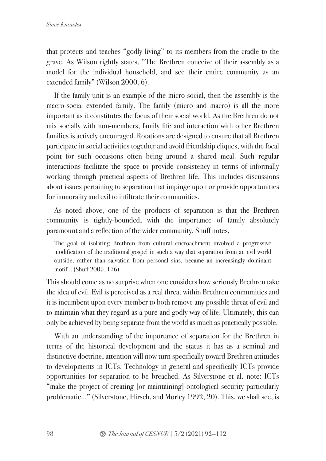that protects and teaches "godly living" to its members from the cradle to the grave. As Wilson rightly states, "The Brethren conceive of their assembly as a model for the individual household, and see their entire community as an extended family" (Wilson 2000, 6).

If the family unit is an example of the micro-social, then the assembly is the macro-social extended family. The family (micro and macro) is all the more important as it constitutes the focus of their social world. As the Brethren do not mix socially with non-members, family life and interaction with other Brethren families is actively encouraged. Rotations are designed to ensure that all Brethren participate in social activities together and avoid friendship cliques, with the focal point for such occasions often being around a shared meal. Such regular interactions facilitate the space to provide consistency in terms of informally working through practical aspects of Brethren life. This includes discussions about issues pertaining to separation that impinge upon or provide opportunities for immorality and evil to infiltrate their communities.

As noted above, one of the products of separation is that the Brethren community is tightly-bounded, with the importance of family absolutely paramount and a reflection of the wider community. Shuff notes,

The goal of isolating Brethren from cultural encroachment involved a progressive modification of the traditional gospel in such a way that separation from an evil world outside, rather than salvation from personal sins, became an increasingly dominant motif… (Shuff 2005, 176).

This should come as no surprise when one considers how seriously Brethren take the idea of evil. Evil is perceived as a real threat within Brethren communities and it is incumbent upon every member to both remove any possible threat of evil and to maintain what they regard as a pure and godly way of life. Ultimately, this can only be achieved by being separate from the world as much as practically possible.

With an understanding of the importance of separation for the Brethren in terms of the historical development and the status it has as a seminal and distinctive doctrine, attention will now turn specifically toward Brethren attitudes to developments in ICTs. Technology in general and specifically ICTs provide opportunities for separation to be breached. As Silverstone et al. note: ICTs "make the project of creating [or maintaining] ontological security particularly problematic…" (Silverstone, Hirsch, and Morley 1992, 20). This, we shall see, is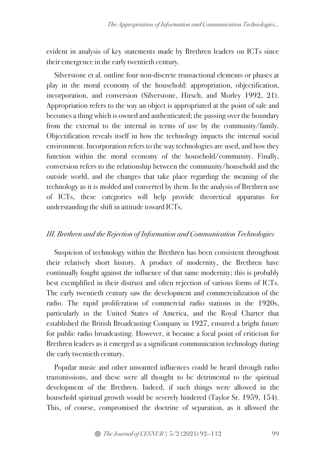evident in analysis of key statements made by Brethren leaders on ICTs since their emergence in the early twentieth century.

Silverstone et al. outline four non-discrete transactional elements or phases at play in the moral economy of the household: appropriation, objectification, incorporation, and conversion (Silverstone, Hirsch, and Morley 1992, 21). Appropriation refers to the way an object is appropriated at the point of sale and becomes a thing which is owned and authenticated; the passing over the boundary from the external to the internal in terms of use by the community/family. Objectification reveals itself in how the technology impacts the internal social environment. Incorporation refers to the way technologies are used, and how they function within the moral economy of the household/community. Finally, conversion refers to the relationship between the community/household and the outside world, and the changes that take place regarding the meaning of the technology as it is molded and converted by them. In the analysis of Brethren use of ICTs, these categories will help provide theoretical apparatus for understanding the shift in attitude toward ICTs.

## *III. Brethren and the Rejection of Information and Communication Technologies*

Suspicion of technology within the Brethren has been consistent throughout their relatively short history. A product of modernity, the Brethren have continually fought against the influence of that same modernity; this is probably best exemplified in their distrust and often rejection of various forms of ICTs. The early twentieth century saw the development and commercialization of the radio. The rapid proliferation of commercial radio stations in the 1920s, particularly in the United States of America, and the Royal Charter that established the British Broadcasting Company in 1927, ensured a bright future for public radio broadcasting. However, it became a focal point of criticism for Brethren leaders as it emerged as a significant communication technology during the early twentieth century.

Popular music and other unwanted influences could be heard through radio transmissions, and these were all thought to be detrimental to the spiritual development of the Brethren. Indeed, if such things were allowed in the household spiritual growth would be severely hindered (Taylor Sr. 1959, 154). This, of course, compromised the doctrine of separation, as it allowed the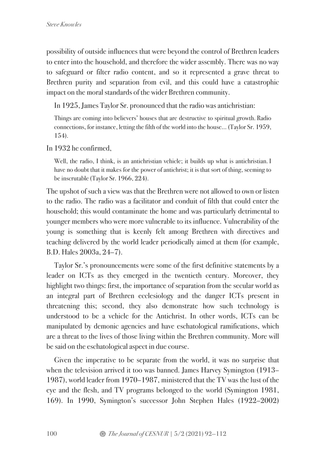possibility of outside influences that were beyond the control of Brethren leaders to enter into the household, and therefore the wider assembly. There was no way to safeguard or filter radio content, and so it represented a grave threat to Brethren purity and separation from evil, and this could have a catastrophic impact on the moral standards of the wider Brethren community.

In 1925, James Taylor Sr. pronounced that the radio was antichristian:

Things are coming into believers' houses that are destructive to spiritual growth. Radio connections, for instance, letting the filth of the world into the house… (Taylor Sr. 1959, 154).

In 1932 he confirmed,

Well, the radio, I think, is an antichristian vehicle; it builds up what is antichristian. I have no doubt that it makes for the power of antichrist; it is that sort of thing, seeming to be inscrutable (Taylor Sr. 1966, 224).

The upshot of such a view was that the Brethren were not allowed to own or listen to the radio. The radio was a facilitator and conduit of filth that could enter the household; this would contaminate the home and was particularly detrimental to younger members who were more vulnerable to its influence. Vulnerability of the young is something that is keenly felt among Brethren with directives and teaching delivered by the world leader periodically aimed at them (for example, B.D. Hales 2003a, 24–7).

Taylor Sr.'s pronouncements were some of the first definitive statements by a leader on ICTs as they emerged in the twentieth century. Moreover, they highlight two things: first, the importance of separation from the secular world as an integral part of Brethren ecclesiology and the danger ICTs present in threatening this; second, they also demonstrate how such technology is understood to be a vehicle for the Antichrist. In other words, ICTs can be manipulated by demonic agencies and have eschatological ramifications, which are a threat to the lives of those living within the Brethren community. More will be said on the eschatological aspect in due course.

Given the imperative to be separate from the world, it was no surprise that when the television arrived it too was banned. James Harvey Symington (1913– 1987), world leader from 1970–1987, ministered that the TV was the lust of the eye and the flesh, and TV programs belonged to the world (Symington 1981, 169). In 1990, Symington's successor John Stephen Hales (1922–2002)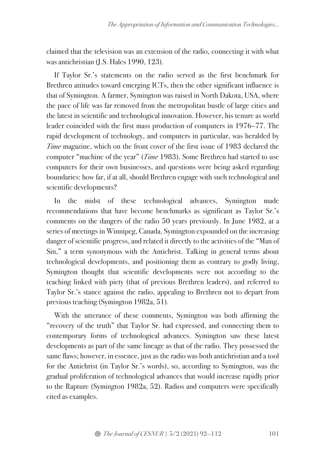claimed that the television was an extension of the radio, connecting it with what was antichristian (J.S. Hales 1990, 123).

If Taylor Sr.'s statements on the radio served as the first benchmark for Brethren attitudes toward emerging ICTs, then the other significant influence is that of Symington. A farmer, Symington was raised in North Dakota, USA, where the pace of life was far removed from the metropolitan bustle of large cities and the latest in scientific and technological innovation. However, his tenure as world leader coincided with the first mass production of computers in 1976–77. The rapid development of technology, and computers in particular, was heralded by *Time* magazine, which on the front cover of the first issue of 1983 declared the computer "machine of the year" (*Time* 1983). Some Brethren had started to use computers for their own businesses, and questions were being asked regarding boundaries: how far, if at all, should Brethren engage with such technological and scientific developments?

In the midst of these technological advances, Symington made recommendations that have become benchmarks as significant as Taylor Sr.'s comments on the dangers of the radio 50 years previously. In June 1982, at a series of meetings in Winnipeg, Canada, Symington expounded on the increasing danger of scientific progress, and related it directly to the activities of the "Man of Sin," a term synonymous with the Antichrist. Talking in general terms about technological developments, and positioning them as contrary to godly living, Symington thought that scientific developments were not according to the teaching linked with piety (that of previous Brethren leaders), and referred to Taylor Sr.'s stance against the radio, appealing to Brethren not to depart from previous teaching (Symington 1982a, 51).

With the utterance of these comments, Symington was both affirming the "recovery of the truth" that Taylor Sr. had expressed, and connecting them to contemporary forms of technological advances. Symington saw these latest developments as part of the same lineage as that of the radio. They possessed the same flaws; however, in essence, just as the radio was both antichristian and a tool for the Antichrist (in Taylor Sr.'s words), so, according to Symington, was the gradual proliferation of technological advances that would increase rapidly prior to the Rapture (Symington 1982a, 52). Radios and computers were specifically cited as examples.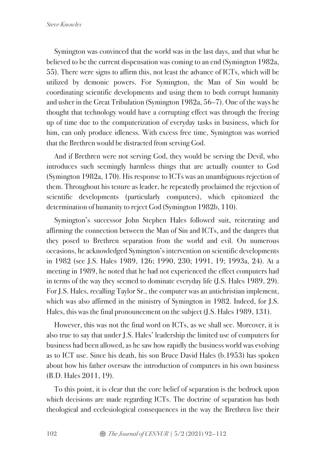Symington was convinced that the world was in the last days, and that what he believed to be the current dispensation was coming to an end (Symington 1982a, 55). There were signs to affirm this, not least the advance of ICTs, which will be utilized by demonic powers. For Symington, the Man of Sin would be coordinating scientific developments and using them to both corrupt humanity and usher in the Great Tribulation (Symington 1982a, 56–7). One of the ways he thought that technology would have a corrupting effect was through the freeing up of time due to the computerization of everyday tasks in business, which for him, can only produce idleness. With excess free time, Symington was worried that the Brethren would be distracted from serving God.

And if Brethren were not serving God, they would be serving the Devil, who introduces such seemingly harmless things that are actually counter to God (Symington 1982a, 170). His response to ICTs was an unambiguous rejection of them. Throughout his tenure as leader, he repeatedly proclaimed the rejection of scientific developments (particularly computers), which epitomized the determination of humanity to reject God (Symington 1982b, 110).

Symington's successor John Stephen Hales followed suit, reiterating and affirming the connection between the Man of Sin and ICTs, and the dangers that they posed to Brethren separation from the world and evil. On numerous occasions, he acknowledged Symington's intervention on scientific developments in 1982 (see J.S. Hales 1989, 126; 1990, 230; 1991, 19; 1993a, 24). At a meeting in 1989, he noted that he had not experienced the effect computers had in terms of the way they seemed to dominate everyday life (J.S. Hales 1989, 29). For J.S. Hales, recalling Taylor Sr., the computer was an antichristian implement, which was also affirmed in the ministry of Symington in 1982. Indeed, for J.S. Hales, this was the final pronouncement on the subject (J.S. Hales 1989, 131).

However, this was not the final word on ICTs, as we shall see. Moreover, it is also true to say that under J.S. Hales' leadership the limited use of computers for business had been allowed, as he saw how rapidly the business world was evolving as to ICT use. Since his death, his son Bruce David Hales (b.1953) has spoken about how his father oversaw the introduction of computers in his own business (B.D. Hales 2011, 19).

To this point, it is clear that the core belief of separation is the bedrock upon which decisions are made regarding ICTs. The doctrine of separation has both theological and ecclesiological consequences in the way the Brethren live their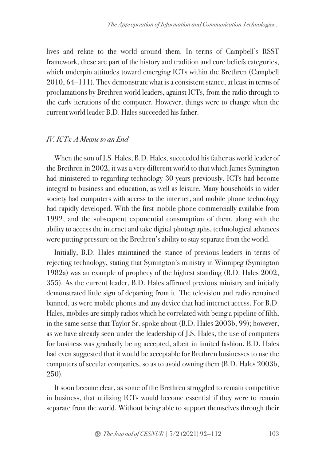lives and relate to the world around them. In terms of Campbell's RSST framework, these are part of the history and tradition and core beliefs categories, which underpin attitudes toward emerging ICTs within the Brethren (Campbell 2010, 64–111). They demonstrate what is a consistent stance, at least in terms of proclamations by Brethren world leaders, against ICTs, from the radio through to the early iterations of the computer. However, things were to change when the current world leader B.D. Hales succeeded his father.

#### *IV. ICTs: A Means to an End*

When the son of J.S. Hales, B.D. Hales, succeeded his father as world leader of the Brethren in 2002, it was a very different world to that which James Symington had ministered to regarding technology 30 years previously. ICTs had become integral to business and education, as well as leisure. Many households in wider society had computers with access to the internet, and mobile phone technology had rapidly developed. With the first mobile phone commercially available from 1992, and the subsequent exponential consumption of them, along with the ability to access the internet and take digital photographs, technological advances were putting pressure on the Brethren's ability to stay separate from the world.

Initially, B.D. Hales maintained the stance of previous leaders in terms of rejecting technology, stating that Symington's ministry in Winnipeg (Symington 1982a) was an example of prophecy of the highest standing (B.D. Hales 2002, 355). As the current leader, B.D. Hales affirmed previous ministry and initially demonstrated little sign of departing from it. The television and radio remained banned, as were mobile phones and any device that had internet access. For B.D. Hales, mobiles are simply radios which he correlated with being a pipeline of filth, in the same sense that Taylor Sr. spoke about (B.D. Hales 2003b, 99); however, as we have already seen under the leadership of J.S. Hales, the use of computers for business was gradually being accepted, albeit in limited fashion. B.D. Hales had even suggested that it would be acceptable for Brethren businesses to use the computers of secular companies, so as to avoid owning them (B.D. Hales 2003b, 250).

It soon became clear, as some of the Brethren struggled to remain competitive in business, that utilizing ICTs would become essential if they were to remain separate from the world. Without being able to support themselves through their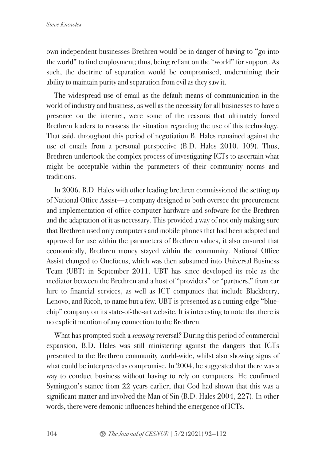own independent businesses Brethren would be in danger of having to "go into the world" to find employment; thus, being reliant on the "world" for support. As such, the doctrine of separation would be compromised, undermining their ability to maintain purity and separation from evil as they saw it.

The widespread use of email as the default means of communication in the world of industry and business, as well as the necessity for all businesses to have a presence on the internet, were some of the reasons that ultimately forced Brethren leaders to reassess the situation regarding the use of this technology. That said, throughout this period of negotiation B. Hales remained against the use of emails from a personal perspective (B.D. Hales 2010, 109). Thus, Brethren undertook the complex process of investigating ICTs to ascertain what might be acceptable within the parameters of their community norms and traditions.

In 2006, B.D. Hales with other leading brethren commissioned the setting up of National Office Assist—a company designed to both oversee the procurement and implementation of office computer hardware and software for the Brethren and the adaptation of it as necessary. This provided a way of not only making sure that Brethren used only computers and mobile phones that had been adapted and approved for use within the parameters of Brethren values, it also ensured that economically, Brethren money stayed within the community. National Office Assist changed to Onefocus, which was then subsumed into Universal Business Team (UBT) in September 2011. UBT has since developed its role as the mediator between the Brethren and a host of "providers" or "partners," from car hire to financial services, as well as ICT companies that include Blackberry, Lenovo, and Ricoh, to name but a few. UBT is presented as a cutting-edge "bluechip" company on its state-of-the-art website. It is interesting to note that there is no explicit mention of any connection to the Brethren.

What has prompted such a *seeming* reversal? During this period of commercial expansion, B.D. Hales was still ministering against the dangers that ICTs presented to the Brethren community world-wide, whilst also showing signs of what could be interpreted as compromise. In 2004, he suggested that there was a way to conduct business without having to rely on computers. He confirmed Symington's stance from 22 years earlier, that God had shown that this was a significant matter and involved the Man of Sin (B.D. Hales 2004, 227). In other words, there were demonic influences behind the emergence of ICTs.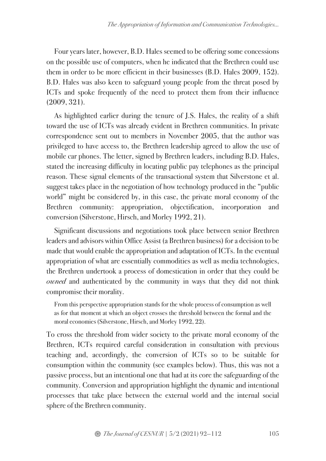Four years later, however, B.D. Hales seemed to be offering some concessions on the possible use of computers, when he indicated that the Brethren could use them in order to be more efficient in their businesses (B.D. Hales 2009, 152). B.D. Hales was also keen to safeguard young people from the threat posed by ICTs and spoke frequently of the need to protect them from their influence (2009, 321).

As highlighted earlier during the tenure of J.S. Hales, the reality of a shift toward the use of ICTs was already evident in Brethren communities. In private correspondence sent out to members in November 2005, that the author was privileged to have access to, the Brethren leadership agreed to allow the use of mobile car phones. The letter, signed by Brethren leaders, including B.D. Hales, stated the increasing difficulty in locating public pay telephones as the principal reason. These signal elements of the transactional system that Silverstone et al. suggest takes place in the negotiation of how technology produced in the "public world" might be considered by, in this case, the private moral economy of the Brethren community: appropriation, objectification, incorporation and conversion (Silverstone, Hirsch, and Morley 1992, 21).

Significant discussions and negotiations took place between senior Brethren leaders and advisors within Office Assist (a Brethren business) for a decision to be made that would enable the appropriation and adaptation of ICTs. In the eventual appropriation of what are essentially commodities as well as media technologies, the Brethren undertook a process of domestication in order that they could be *owned* and authenticated by the community in ways that they did not think compromise their morality.

From this perspective appropriation stands for the whole process of consumption as well as for that moment at which an object crosses the threshold between the formal and the moral economies (Silverstone, Hirsch, and Morley 1992, 22).

To cross the threshold from wider society to the private moral economy of the Brethren, ICTs required careful consideration in consultation with previous teaching and, accordingly, the conversion of ICTs so to be suitable for consumption within the community (see examples below). Thus, this was not a passive process, but an intentional one that had at its core the safeguarding of the community. Conversion and appropriation highlight the dynamic and intentional processes that take place between the external world and the internal social sphere of the Brethren community.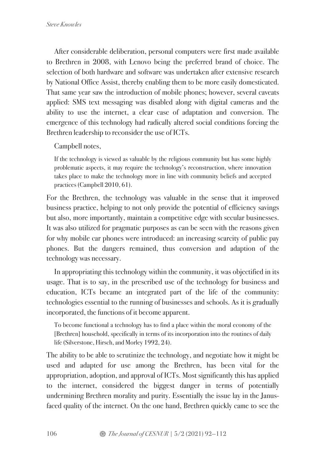After considerable deliberation, personal computers were first made available to Brethren in 2008, with Lenovo being the preferred brand of choice. The selection of both hardware and software was undertaken after extensive research by National Office Assist, thereby enabling them to be more easily domesticated. That same year saw the introduction of mobile phones; however, several caveats applied: SMS text messaging was disabled along with digital cameras and the ability to use the internet, a clear case of adaptation and conversion. The emergence of this technology had radically altered social conditions forcing the Brethren leadership to reconsider the use of ICTs.

Campbell notes,

If the technology is viewed as valuable by the religious community but has some highly problematic aspects, it may require the technology's reconstruction, where innovation takes place to make the technology more in line with community beliefs and accepted practices (Campbell 2010, 61).

For the Brethren, the technology was valuable in the sense that it improved business practice, helping to not only provide the potential of efficiency savings but also, more importantly, maintain a competitive edge with secular businesses. It was also utilized for pragmatic purposes as can be seen with the reasons given for why mobile car phones were introduced: an increasing scarcity of public pay phones. But the dangers remained, thus conversion and adaption of the technology was necessary.

In appropriating this technology within the community, it was objectified in its usage. That is to say, in the prescribed use of the technology for business and education, ICTs became an integrated part of the life of the community: technologies essential to the running of businesses and schools. As it is gradually incorporated, the functions of it become apparent.

To become functional a technology has to find a place within the moral economy of the [Brethren] household, specifically in terms of its incorporation into the routines of daily life (Silverstone, Hirsch, and Morley 1992, 24).

The ability to be able to scrutinize the technology, and negotiate how it might be used and adapted for use among the Brethren, has been vital for the appropriation, adoption, and approval of ICTs. Most significantly this has applied to the internet, considered the biggest danger in terms of potentially undermining Brethren morality and purity. Essentially the issue lay in the Janusfaced quality of the internet. On the one hand, Brethren quickly came to see the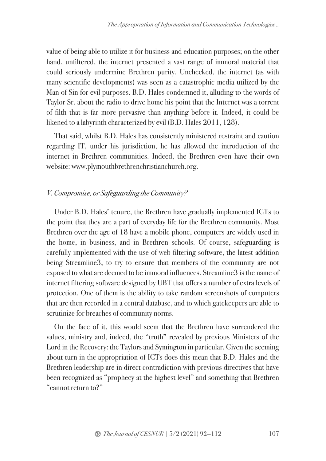value of being able to utilize it for business and education purposes; on the other hand, unfiltered, the internet presented a vast range of immoral material that could seriously undermine Brethren purity. Unchecked, the internet (as with many scientific developments) was seen as a catastrophic media utilized by the Man of Sin for evil purposes. B.D. Hales condemned it, alluding to the words of Taylor Sr. about the radio to drive home his point that the Internet was a torrent of filth that is far more pervasive than anything before it. Indeed, it could be likened to a labyrinth characterized by evil (B.D. Hales 2011, 128).

That said, whilst B.D. Hales has consistently ministered restraint and caution regarding IT, under his jurisdiction, he has allowed the introduction of the internet in Brethren communities. Indeed, the Brethren even have their own website: www.plymouthbrethrenchristianchurch.org.

#### *V. Compromise, or Safeguarding the Community?*

Under B.D. Hales' tenure, the Brethren have gradually implemented ICTs to the point that they are a part of everyday life for the Brethren community. Most Brethren over the age of 18 have a mobile phone, computers are widely used in the home, in business, and in Brethren schools. Of course, safeguarding is carefully implemented with the use of web filtering software, the latest addition being Streamline3, to try to ensure that members of the community are not exposed to what are deemed to be immoral influences. Streamline3 is the name of internet filtering software designed by UBT that offers a number of extra levels of protection. One of them is the ability to take random screenshots of computers that are then recorded in a central database, and to which gatekeepers are able to scrutinize for breaches of community norms.

On the face of it, this would seem that the Brethren have surrendered the values, ministry and, indeed, the "truth" revealed by previous Ministers of the Lord in the Recovery: the Taylors and Symington in particular. Given the seeming about turn in the appropriation of ICTs does this mean that B.D. Hales and the Brethren leadership are in direct contradiction with previous directives that have been recognized as "prophecy at the highest level" and something that Brethren "cannot return to?"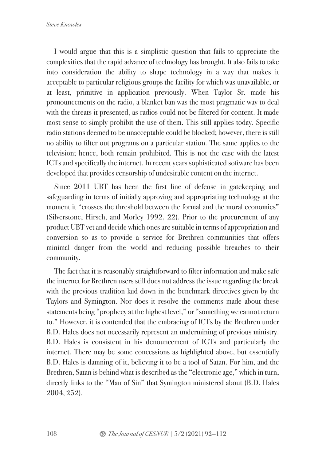I would argue that this is a simplistic question that fails to appreciate the complexities that the rapid advance of technology has brought. It also fails to take into consideration the ability to shape technology in a way that makes it acceptable to particular religious groups the facility for which was unavailable, or at least, primitive in application previously. When Taylor Sr. made his pronouncements on the radio, a blanket ban was the most pragmatic way to deal with the threats it presented, as radios could not be filtered for content. It made most sense to simply prohibit the use of them. This still applies today. Specific radio stations deemed to be unacceptable could be blocked; however, there is still no ability to filter out programs on a particular station. The same applies to the television; hence, both remain prohibited. This is not the case with the latest ICTs and specifically the internet. In recent years sophisticated software has been developed that provides censorship of undesirable content on the internet.

Since 2011 UBT has been the first line of defense in gatekeeping and safeguarding in terms of initially approving and appropriating technology at the moment it "crosses the threshold between the formal and the moral economies" (Silverstone, Hirsch, and Morley 1992, 22). Prior to the procurement of any product UBT vet and decide which ones are suitable in terms of appropriation and conversion so as to provide a service for Brethren communities that offers minimal danger from the world and reducing possible breaches to their community.

The fact that it is reasonably straightforward to filter information and make safe the internet for Brethren users still does not address the issue regarding the break with the previous tradition laid down in the benchmark directives given by the Taylors and Symington. Nor does it resolve the comments made about these statements being "prophecy at the highest level," or "something we cannot return to." However, it is contended that the embracing of ICTs by the Brethren under B.D. Hales does not necessarily represent an undermining of previous ministry. B.D. Hales is consistent in his denouncement of ICTs and particularly the internet. There may be some concessions as highlighted above, but essentially B.D. Hales is damning of it, believing it to be a tool of Satan. For him, and the Brethren, Satan is behind what is described as the "electronic age," which in turn, directly links to the "Man of Sin" that Symington ministered about (B.D. Hales 2004, 252).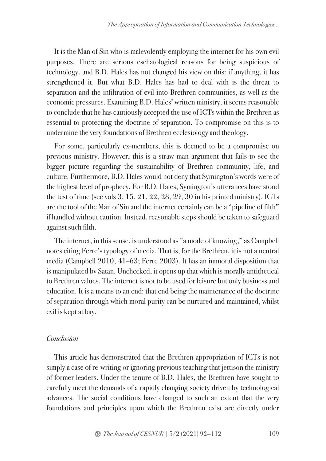It is the Man of Sin who is malevolently employing the internet for his own evil purposes. There are serious eschatological reasons for being suspicious of technology, and B.D. Hales has not changed his view on this: if anything, it has strengthened it. But what B.D. Hales has had to deal with is the threat to separation and the infiltration of evil into Brethren communities, as well as the economic pressures. Examining B.D. Hales' written ministry, it seems reasonable to conclude that he has cautiously accepted the use of ICTs within the Brethren as essential to protecting the doctrine of separation. To compromise on this is to undermine the very foundations of Brethren ecclesiology and theology.

For some, particularly ex-members, this is deemed to be a compromise on previous ministry. However, this is a straw man argument that fails to see the bigger picture regarding the sustainability of Brethren community, life, and culture. Furthermore, B.D. Hales would not deny that Symington's words were of the highest level of prophecy. For B.D. Hales, Symington's utterances have stood the test of time (see vols  $3, 15, 21, 22, 28, 29, 30$  in his printed ministry). ICTs are the tool of the Man of Sin and the internet certainly can be a "pipeline of filth" if handled without caution. Instead, reasonable steps should be taken to safeguard against such filth.

The internet, in this sense, is understood as "a mode of knowing," as Campbell notes citing Ferre's typology of media. That is, for the Brethren, it is not a neutral media (Campbell 2010, 41–63; Ferre 2003). It has an immoral disposition that is manipulated by Satan. Unchecked, it opens up that which is morally antithetical to Brethren values. The internet is not to be used for leisure but only business and education. It is a means to an end: that end being the maintenance of the doctrine of separation through which moral purity can be nurtured and maintained, whilst evil is kept at bay.

#### *Conclusion*

This article has demonstrated that the Brethren appropriation of ICTs is not simply a case of re-writing or ignoring previous teaching that jettison the ministry of former leaders. Under the tenure of B.D. Hales, the Brethren have sought to carefully meet the demands of a rapidly changing society driven by technological advances. The social conditions have changed to such an extent that the very foundations and principles upon which the Brethren exist are directly under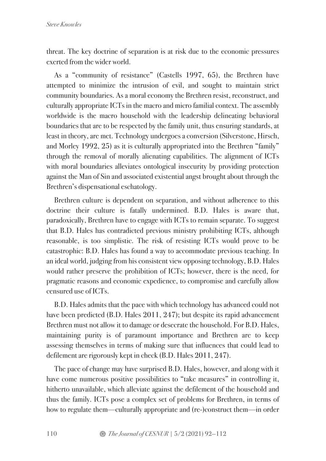threat. The key doctrine of separation is at risk due to the economic pressures exerted from the wider world.

As a "community of resistance" (Castells 1997, 65), the Brethren have attempted to minimize the intrusion of evil, and sought to maintain strict community boundaries. As a moral economy the Brethren resist, reconstruct, and culturally appropriate ICTs in the macro and micro familial context. The assembly worldwide is the macro household with the leadership delineating behavioral boundaries that are to be respected by the family unit, thus ensuring standards, at least in theory, are met. Technology undergoes a conversion (Silverstone, Hirsch, and Morley 1992, 25) as it is culturally appropriated into the Brethren "family" through the removal of morally alienating capabilities. The alignment of ICTs with moral boundaries alleviates ontological insecurity by providing protection against the Man of Sin and associated existential angst brought about through the Brethren's dispensational eschatology.

Brethren culture is dependent on separation, and without adherence to this doctrine their culture is fatally undermined. B.D. Hales is aware that, paradoxically, Brethren have to engage with ICTs to remain separate. To suggest that B.D. Hales has contradicted previous ministry prohibiting ICTs, although reasonable, is too simplistic. The risk of resisting ICTs would prove to be catastrophic: B.D. Hales has found a way to accommodate previous teaching. In an ideal world, judging from his consistent view opposing technology, B.D. Hales would rather preserve the prohibition of ICTs; however, there is the need, for pragmatic reasons and economic expedience, to compromise and carefully allow censured use of ICTs.

B.D. Hales admits that the pace with which technology has advanced could not have been predicted (B.D. Hales 2011, 247); but despite its rapid advancement Brethren must not allow it to damage or desecrate the household. For B.D. Hales, maintaining purity is of paramount importance and Brethren are to keep assessing themselves in terms of making sure that influences that could lead to defilement are rigorously kept in check (B.D. Hales 2011, 247).

The pace of change may have surprised B.D. Hales, however, and along with it have come numerous positive possibilities to "take measures" in controlling it, hitherto unavailable, which alleviate against the defilement of the household and thus the family. ICTs pose a complex set of problems for Brethren, in terms of how to regulate them—culturally appropriate and (re-)construct them—in order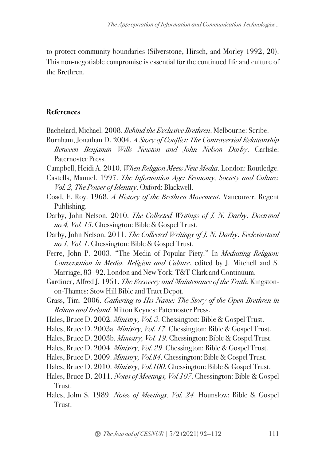to protect community boundaries (Silverstone, Hirsch, and Morley 1992, 20). This non-negotiable compromise is essential for the continued life and culture of the Brethren.

## **References**

- Bachelard, Michael. 2008. *Behind the Exclusive Brethren*. Melbourne: Scribe.
- Burnham, Jonathan D. 2004. *A Story of Conflict: The Controversial Relationship Between Benjamin Wills Newton and John Nelson Darby*. Carlisle: Paternoster Press.
- Campbell, Heidi A. 2010. *When Religion Meets New Media*. London: Routledge.
- Castells, Manuel. 1997. *The Information Age: Economy, Society and Culture. Vol. 2, The Power of Identity*. Oxford: Blackwell.
- Coad, F. Roy. 1968. *A History of the Brethren Movement*. Vancouver: Regent Publishing.
- Darby, John Nelson. 2010. *The Collected Writings of J. N. Darby*. *Doctrinal no.4, Vol. 15*. Chessington: Bible & Gospel Trust.
- Darby, John Nelson. 2011. *The Collected Writings of J. N. Darby*. *Ecclesiastical no.1, Vol. 1*. Chessington: Bible & Gospel Trust.
- Ferre, John P. 2003. "The Media of Popular Piety." In *Mediating Religion: Conversation in Media, Religion and Culture*, edited by J. Mitchell and S. Marriage, 83–92. London and New York: T&T Clark and Continuum.
- Gardiner, Alfred J. 1951. *The Recovery and Maintenance of the Truth.* Kingstonon-Thames: Stow Hill Bible and Tract Depot.
- Grass, Tim. 2006. *Gathering to His Name: The Story of the Open Brethren in Britain and Ireland*.Milton Keynes: Paternoster Press.
- Hales, Bruce D. 2002. *Ministry, Vol. 3*. Chessington: Bible & Gospel Trust.
- Hales, Bruce D. 2003a. *Ministry, Vol. 17*. Chessington: Bible & Gospel Trust.
- Hales, Bruce D. 2003b. *Ministry, Vol. 19*. Chessington: Bible & Gospel Trust.
- Hales, Bruce D. 2004. *Ministry, Vol. 29*. Chessington: Bible & Gospel Trust.
- Hales, Bruce D. 2009. *Ministry, Vol.84*. Chessington: Bible & Gospel Trust.
- Hales, Bruce D. 2010. *Ministry, Vol.100*. Chessington: Bible & Gospel Trust.
- Hales, Bruce D. 2011. *Notes of Meetings, Vol 107*. Chessington: Bible & Gospel Trust.
- Hales, John S. 1989. *Notes of Meetings, Vol. 24.* Hounslow: Bible & Gospel Trust.